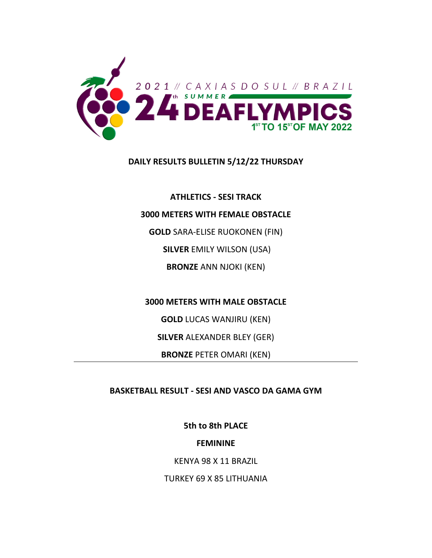

### **DAILY RESULTS BULLETIN 5/12/22 THURSDAY**

**ATHLETICS ‐ SESI TRACK**

### **3000 METERS WITH FEMALE OBSTACLE**

**GOLD** SARA‐ELISE RUOKONEN (FIN)

**SILVER** EMILY WILSON (USA)

**BRONZE** ANN NJOKI (KEN)

## **3000 METERS WITH MALE OBSTACLE**

**GOLD** LUCAS WANJIRU (KEN)

**SILVER** ALEXANDER BLEY (GER)

**BRONZE** PETER OMARI (KEN)

# **BASKETBALL RESULT ‐ SESI AND VASCO DA GAMA GYM**

**5th to 8th PLACE**

# **FEMININE**

KENYA 98 X 11 BRAZIL

TURKEY 69 X 85 LITHUANIA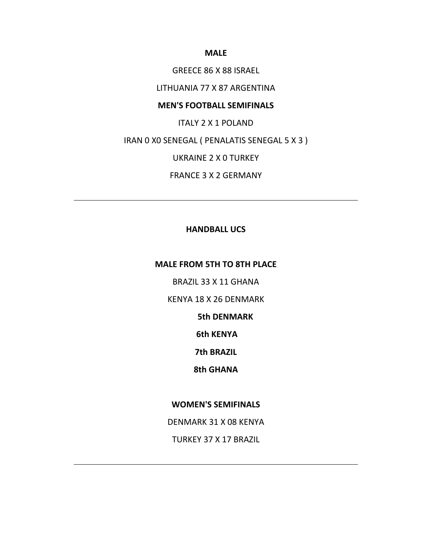#### **MALE**

GREECE 86 X 88 ISRAEL

LITHUANIA 77 X 87 ARGENTINA

### **MEN'S FOOTBALL SEMIFINALS**

ITALY 2 X 1 POLAND

IRAN 0 X0 SENEGAL ( PENALATIS SENEGAL 5 X 3 )

UKRAINE 2 X 0 TURKEY

FRANCE 3 X 2 GERMANY

### **HANDBALL UCS**

### **MALE FROM 5TH TO 8TH PLACE**

BRAZIL 33 X 11 GHANA

KENYA 18 X 26 DENMARK

 **5th DENMARK**

**6th KENYA**

**7th BRAZIL**

**8th GHANA**

## **WOMEN'S SEMIFINALS**

DENMARK 31 X 08 KENYA

TURKEY 37 X 17 BRAZIL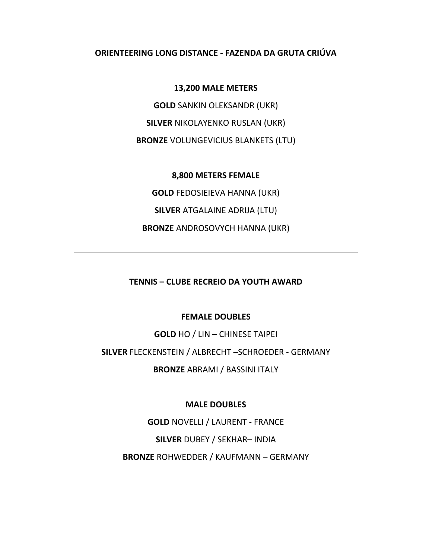### **ORIENTEERING LONG DISTANCE ‐ FAZENDA DA GRUTA CRIÚVA**

#### **13,200 MALE METERS**

**GOLD** SANKIN OLEKSANDR (UKR) **SILVER** NIKOLAYENKO RUSLAN (UKR) **BRONZE** VOLUNGEVICIUS BLANKETS (LTU)

**8,800 METERS FEMALE GOLD** FEDOSIEIEVA HANNA (UKR) **SILVER** ATGALAINE ADRIJA (LTU) **BRONZE** ANDROSOVYCH HANNA (UKR)

## **TENNIS – CLUBE RECREIO DA YOUTH AWARD**

### **FEMALE DOUBLES**

**GOLD** HO / LIN – CHINESE TAIPEI

**SILVER** FLECKENSTEIN / ALBRECHT –SCHROEDER ‐ GERMANY

**BRONZE** ABRAMI / BASSINI ITALY

**MALE DOUBLES**

**GOLD** NOVELLI / LAURENT ‐ FRANCE

**SILVER** DUBEY / SEKHAR– INDIA

**BRONZE** ROHWEDDER / KAUFMANN – GERMANY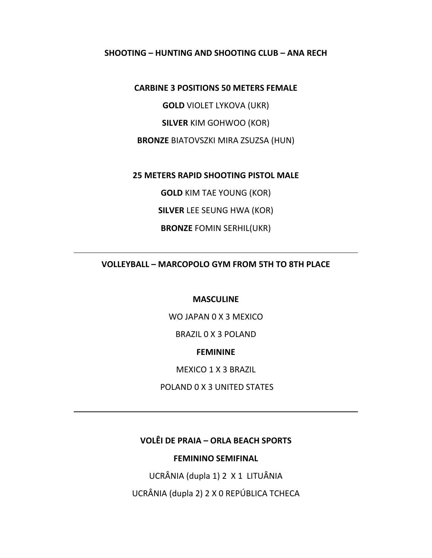#### **SHOOTING – HUNTING AND SHOOTING CLUB – ANA RECH**

#### **CARBINE 3 POSITIONS 50 METERS FEMALE**

**GOLD** VIOLET LYKOVA (UKR)

**SILVER** KIM GOHWOO (KOR)

**BRONZE** BIATOVSZKI MIRA ZSUZSA (HUN)

**25 METERS RAPID SHOOTING PISTOL MALE**

**GOLD** KIM TAE YOUNG (KOR)

**SILVER** LEE SEUNG HWA (KOR)

**BRONZE** FOMIN SERHIL(UKR)

**VOLLEYBALL – MARCOPOLO GYM FROM 5TH TO 8TH PLACE**

### **MASCULINE**

WO JAPAN 0 X 3 MEXICO

BRAZIL 0 X 3 POLAND

### **FEMININE**

MEXICO 1 X 3 BRAZIL

POLAND 0 X 3 UNITED STATES

# **VOLÊI DE PRAIA – ORLA BEACH SPORTS**

### **FEMININO SEMIFINAL**

UCRÂNIA (dupla 1) 2 X 1 LITUÂNIA

UCRÂNIA (dupla 2) 2 X 0 REPÚBLICA TCHECA